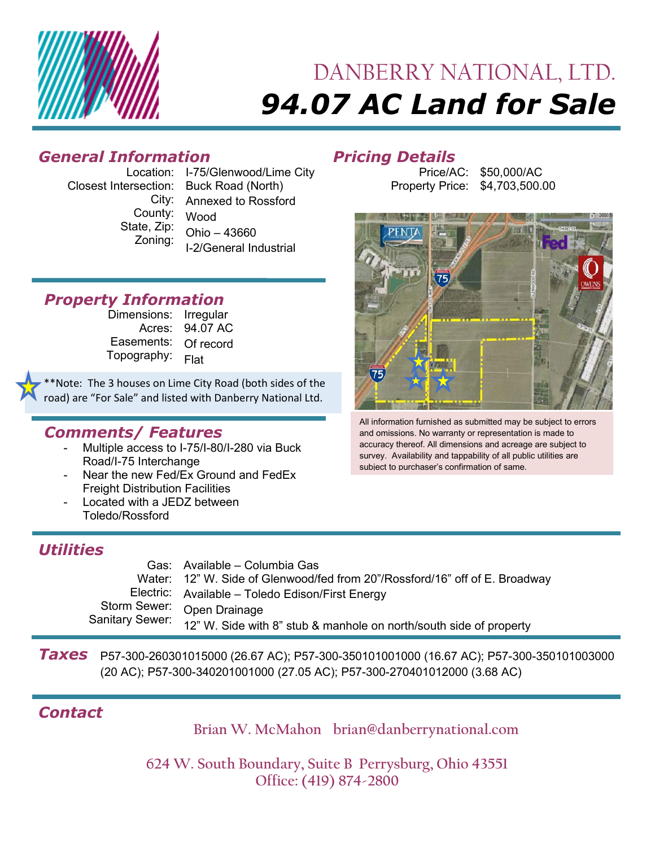

# DANBERRY NATIONAL, LTD. *94.07 AC Land for Sale*

## *General Information Pricing Details*

Location: I-75/Glenwood/Lime City Closest Intersection: Buck Road (North) City: Annexed to Rossford County: State, Zip: Zoning: Wood Ohio – 43660 I-2/General Industrial

### *Property Information*

Dimensions: Irregular Acres: 94.07 AC Easements: Of record Topography: Flat

\*Note: The 3 houses on Lime City Road (both sides of the road) are "For Sale" and listed with Danberry National Ltd.

#### *Comments/ Features*

- Multiple access to I-75/I-80/I-280 via Buck Road/I-75 Interchange
- Near the new Fed/Ex Ground and FedEx **Freight Distribution Facilities**
- Located with a JEDZ between Toledo/Rossford

### *Utilities*

| Gas: Available – Columbia Gas                                                      |
|------------------------------------------------------------------------------------|
| Water: 12" W. Side of Glenwood/fed from 20"/Rossford/16" off of E. Broadway        |
| Electric: Available - Toledo Edison/First Energy                                   |
| Storm Sewer: Open Drainage                                                         |
| Sanitary Sewer: 12" W. Side with 8" stub & manhole on north/south side of property |

*Taxes* (20 AC); P57-300-340201001000 (27.05 AC); P57-300-270401012000 (3.68 AC) P57-300-260301015000 (26.67 AC); P57-300-350101001000 (16.67 AC); P57-300-350101003000

# *Contact*

**Brian W. McMahon brian@danberrynational.com**

**624 W. South Boundary, Suite B Perrysburg, Ohio 43551 Office: (419) 874-2800** 

Price/AC: Property Price: \$4,703,500.00 \$50,000/AC



All information furnished as submitted may be subject to errors and omissions. No warranty or representation is made to accuracy thereof. All dimensions and acreage are subject to survey. Availability and tappability of all public utilities are subject to purchaser's confirmation of same.